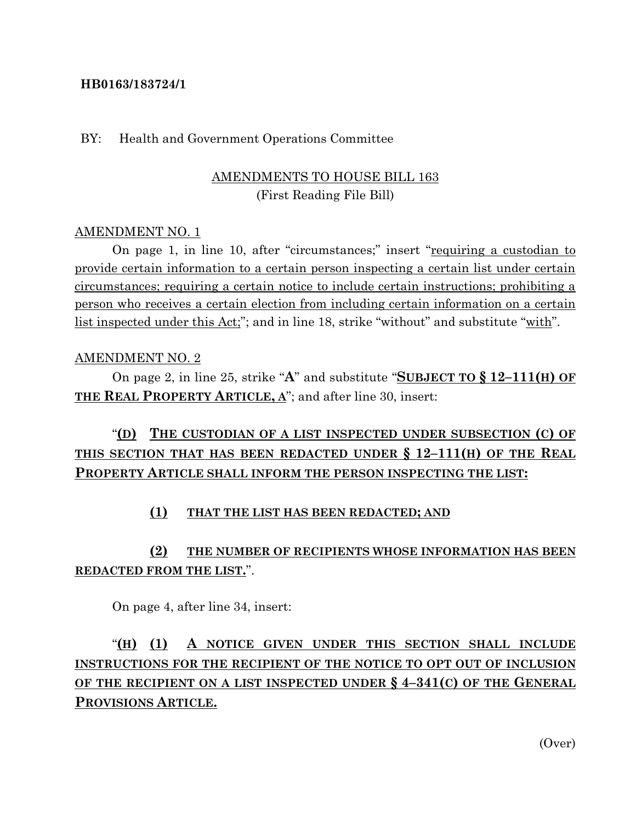#### **HB0163/183724/1**

#### BY: Health and Government Operations Committee

### AMENDMENTS TO HOUSE BILL 163 (First Reading File Bill)

#### AMENDMENT NO. 1

On page 1, in line 10, after "circumstances;" insert "requiring a custodian to provide certain information to a certain person inspecting a certain list under certain circumstances; requiring a certain notice to include certain instructions; prohibiting a person who receives a certain election from including certain information on a certain list inspected under this Act;"; and in line 18, strike "without" and substitute "with".

#### AMENDMENT NO. 2

On page 2, in line 25, strike "**A**" and substitute "**SUBJECT TO § 12–111(H) OF THE REAL PROPERTY ARTICLE, A**"; and after line 30, insert:

# "**(D) THE CUSTODIAN OF A LIST INSPECTED UNDER SUBSECTION (C) OF THIS SECTION THAT HAS BEEN REDACTED UNDER § 12–111(H) OF THE REAL PROPERTY ARTICLE SHALL INFORM THE PERSON INSPECTING THE LIST:**

#### **(1) THAT THE LIST HAS BEEN REDACTED; AND**

### **(2) THE NUMBER OF RECIPIENTS WHOSE INFORMATION HAS BEEN REDACTED FROM THE LIST.**".

On page 4, after line 34, insert:

# "**(H) (1) A NOTICE GIVEN UNDER THIS SECTION SHALL INCLUDE INSTRUCTIONS FOR THE RECIPIENT OF THE NOTICE TO OPT OUT OF INCLUSION OF THE RECIPIENT ON A LIST INSPECTED UNDER § 4–341(C) OF THE GENERAL PROVISIONS ARTICLE.**

(Over)